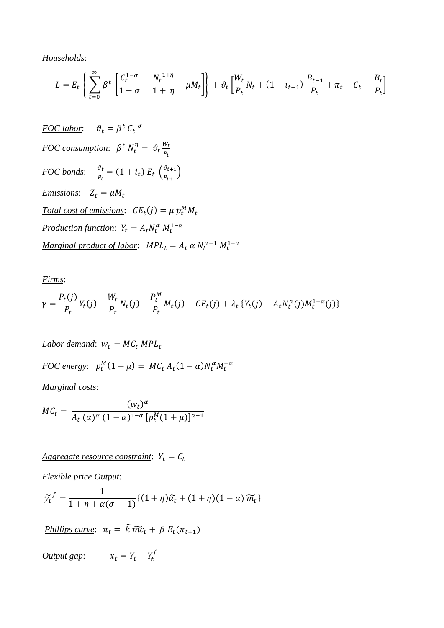*Households*:

$$
L = E_t \left\{ \sum_{t=0}^{\infty} \beta^t \left[ \frac{C_t^{1-\sigma}}{1-\sigma} - \frac{N_t^{1+\eta}}{1+\eta} - \mu M_t \right] \right\} + \vartheta_t \left[ \frac{W_t}{P_t} N_t + (1+i_{t-1}) \frac{B_{t-1}}{P_t} + \pi_t - C_t - \frac{B_t}{P_t} \right]
$$

 $\underline{FOC \, labor:} \quad \vartheta_t = \beta^t \ C_t^{-\sigma}$  $\underline{FOC}$  consumption:  $\beta^t N_t^{\eta} = \vartheta_t \frac{W_t}{P_t}$  $P_t$ *FOC bonds*:  $\frac{\vartheta_t}{R}$  $\frac{\partial_t}{P_t} = (1 + i_t) E_t \left( \frac{\partial_{t+1}}{P_{t+1}} \right)$  $\frac{p_{t+1}}{p_{t+1}}$ *<u>Emissions</u>*:  $Z_t = \mu M_t$  $\text{Total cost of emissions:} \quad CE_t(j) = \mu p_t^M M_t$  $\frac{Production\ function}{m}$ :  $Y_t = A_t N_t^{\alpha} M_t^{1-\alpha}$  $Marginal product of labor:  $MPL_t = A_t \alpha N_t^{\alpha-1} M_t^{1-\alpha}$$ 

*Firms*:

$$
\gamma = \frac{P_t(j)}{P_t} Y_t(j) - \frac{W_t}{P_t} N_t(j) - \frac{P_t^M}{P_t} M_t(j) - CE_t(j) + \lambda_t \{Y_t(j) - A_t N_t^{\alpha}(j) M_t^{1-\alpha}(j)\}
$$

 $Labor$  demand:  $W_t = MC_t$  MPL<sub>t</sub>  $\underline{FOC}$  *energy*:  $p_t^M(1 + \mu) = MC_t A_t(1 - \alpha)N_t^{\alpha}M_t^{-\alpha}$ 

*Marginal costs*:

 $MC_t =$  $(w_t)^\alpha$  $A_t (\alpha)^{\alpha} (1-\alpha)^{1-\alpha} [p_t^M (1+\mu)]^{\alpha-1}$ 

 $Aggregate resource constraint:  $Y_t = C_t$$ </u>

*Flexible price Output*:

$$
\widetilde{y_t}^f = \frac{1}{1 + \eta + \alpha(\sigma - 1)} \{ (1 + \eta)\widetilde{\alpha}_t + (1 + \eta)(1 - \alpha)\widetilde{m}_t \}
$$

*<u>Phillips curve</u>*:  $\pi_t = \widetilde{k} \widetilde{mc}_t + \beta E_t(\pi_{t+1})$ 

 $\frac{\text{Output gap:}}{\text{Var}}$   $x_t = Y_t - Y_t^f$